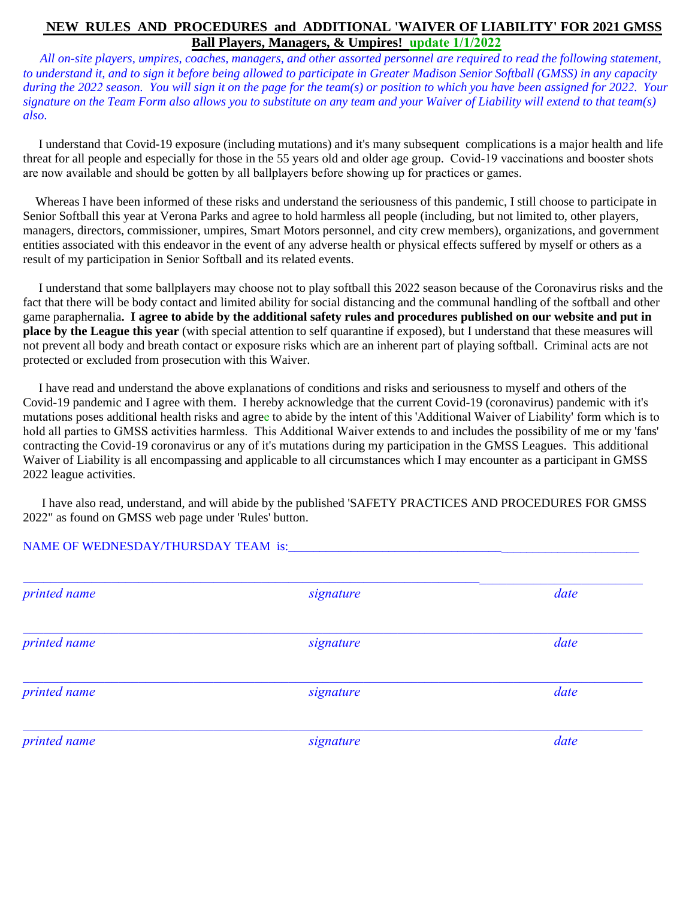## **NEW RULES AND PROCEDURES and ADDITIONAL 'WAIVER OF LIABILITY' FOR 2021 GMSS Ball Players, Managers, & Umpires! update 1/1/2022**

 *All on-site players, umpires, coaches, managers, and other assorted personnel are required to read the following statement, to understand it, and to sign it before being allowed to participate in Greater Madison Senior Softball (GMSS) in any capacity during the 2022 season. You will sign it on the page for the team(s) or position to which you have been assigned for 2022. Your signature on the Team Form also allows you to substitute on any team and your Waiver of Liability will extend to that team(s) also.* 

 I understand that Covid-19 exposure (including mutations) and it's many subsequent complications is a major health and life threat for all people and especially for those in the 55 years old and older age group. Covid-19 vaccinations and booster shots are now available and should be gotten by all ballplayers before showing up for practices or games.

 Whereas I have been informed of these risks and understand the seriousness of this pandemic, I still choose to participate in Senior Softball this year at Verona Parks and agree to hold harmless all people (including, but not limited to, other players, managers, directors, commissioner, umpires, Smart Motors personnel, and city crew members), organizations, and government entities associated with this endeavor in the event of any adverse health or physical effects suffered by myself or others as a result of my participation in Senior Softball and its related events.

 I understand that some ballplayers may choose not to play softball this 2022 season because of the Coronavirus risks and the fact that there will be body contact and limited ability for social distancing and the communal handling of the softball and other game paraphernalia**. I agree to abide by the additional safety rules and procedures published on our website and put in place by the League this year** (with special attention to self quarantine if exposed), but I understand that these measures will not prevent all body and breath contact or exposure risks which are an inherent part of playing softball. Criminal acts are not protected or excluded from prosecution with this Waiver.

 I have read and understand the above explanations of conditions and risks and seriousness to myself and others of the Covid-19 pandemic and I agree with them. I hereby acknowledge that the current Covid-19 (coronavirus) pandemic with it's mutations poses additional health risks and agree to abide by the intent of this 'Additional Waiver of Liability' form which is to hold all parties to GMSS activities harmless. This Additional Waiver extends to and includes the possibility of me or my 'fans' contracting the Covid-19 coronavirus or any of it's mutations during my participation in the GMSS Leagues. This additional Waiver of Liability is all encompassing and applicable to all circumstances which I may encounter as a participant in GMSS 2022 league activities.

 I have also read, understand, and will abide by the published 'SAFETY PRACTICES AND PROCEDURES FOR GMSS 2022" as found on GMSS web page under 'Rules' button.

## NAME OF WEDNESDAY/THURSDAY TEAM is:

| printed name | signature | date |
|--------------|-----------|------|
| printed name | signature | date |
| printed name | signature | date |
| printed name | signature | date |